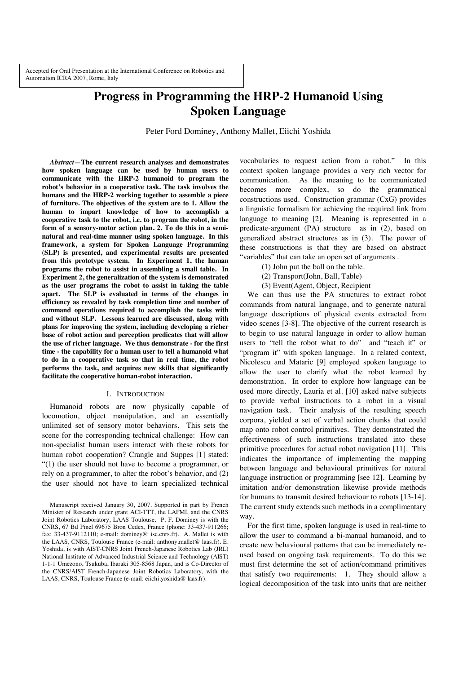# **Progress in Programming the HRP-2 Humanoid Using Spoken Language**

Peter Ford Dominey, Anthony Mallet, Eiichi Yoshida

*Abstract***—The current research analyses and demonstrates how spoken language can be used by human users to communicate with the HRP-2 humanoid to program the robot's behavior in a cooperative task. The task involves the humans and the HRP-2 working together to assemble a piece of furniture. The objectives of the system are to 1. Allow the human to impart knowledge of how to accomplish a cooperative task to the robot, i.e. to program the robot, in the form of a sensory-motor action plan. 2. To do this in a seminatural and real-time manner using spoken language. In this framework, a system for Spoken Language Programming (SLP) is presented, and experimental results are presented from this prototype system. In Experiment 1, the human programs the robot to assist in assembling a small table. In Experiment 2, the generalization of the system is demonstrated as the user programs the robot to assist in taking the table apart. The SLP is evaluated in terms of the changes in efficiency as revealed by task completion time and number of command operations required to accomplish the tasks with and without SLP. Lessons learned are discussed, along with plans for improving the system, including developing a richer base of robot action and perception predicates that will allow the use of richer language. We thus demonstrate - for the first time - the capability for a human user to tell a humanoid what to do in a cooperative task so that in real time, the robot performs the task, and acquires new skills that significantly facilitate the cooperative human-robot interaction.**

## I. INTRODUCTION

Humanoid robots are now physically capable of locomotion, object manipulation, and an essentially unlimited set of sensory motor behaviors. This sets the scene for the corresponding technical challenge: How can non-specialist human users interact with these robots for human robot cooperation? Crangle and Suppes [1] stated: "(1) the user should not have to become a programmer, or rely on a programmer, to alter the robot's behavior, and (2) the user should not have to learn specialized technical

vocabularies to request action from a robot." In this context spoken language provides a very rich vector for communication. As the meaning to be communicated becomes more complex, so do the grammatical constructions used. Construction grammar (CxG) provides a linguistic formalism for achieving the required link from language to meaning [2]. Meaning is represented in a predicate-argument (PA) structure as in (2), based on generalized abstract structures as in (3). The power of these constructions is that they are based on abstract "variables" that can take an open set of arguments .

- (1) John put the ball on the table.
- (2) Transport(John, Ball, Table)
- (3) Event(Agent, Object, Recipient

We can thus use the PA structures to extract robot commands from natural language, and to generate natural language descriptions of physical events extracted from video scenes [3-8]. The objective of the current research is to begin to use natural language in order to allow human users to "tell the robot what to do" and "teach it" or "program it" with spoken language. In a related context, Nicolescu and Mataric [9] employed spoken language to allow the user to clarify what the robot learned by demonstration. In order to explore how language can be used more directly, Lauria et al. [10] asked naïve subjects to provide verbal instructions to a robot in a visual navigation task. Their analysis of the resulting speech corpora, yielded a set of verbal action chunks that could map onto robot control primitives. They demonstrated the effectiveness of such instructions translated into these primitive procedures for actual robot navigation [11]. This indicates the importance of implementing the mapping between language and behavioural primitives for natural language instruction or programming [see 12]. Learning by imitation and/or demonstration likewise provide methods for humans to transmit desired behaviour to robots [13-14]. The current study extends such methods in a complimentary way.

For the first time, spoken language is used in real-time to allow the user to command a bi-manual humanoid, and to create new behavioural patterns that can be immediately reused based on ongoing task requirements. To do this we must first determine the set of action/command primitives that satisfy two requirements: 1. They should allow a logical decomposition of the task into units that are neither

Manuscript received January 30, 2007. Supported in part by French Minister of Research under grant ACI-TTT, the LAFMI, and the CNRS Joint Robotics Laboratory, LAAS Toulouse. P. F. Dominey is with the CNRS, 67 Bd Pinel 69675 Bron Cedex, France (phone: 33-437-911266; fax: 33-437-9112110; e-mail: dominey@ isc.cnrs.fr). A. Mallet is with the LAAS, CNRS, Toulouse France (e-mail: anthony.mallet@ laas.fr). E. Yoshida, is with AIST-CNRS Joint French-Japanese Robotics Lab (JRL) National Institute of Advanced Industrial Science and Technology (AIST) 1-1-1 Umezono, Tsukuba, Ibaraki 305-8568 Japan, and is Co-Director of the CNRS/AIST French-Japanese Joint Robotics Laboratory, with the LAAS, CNRS, Toulouse France (e-mail: eiichi.yoshida@ laas.fr).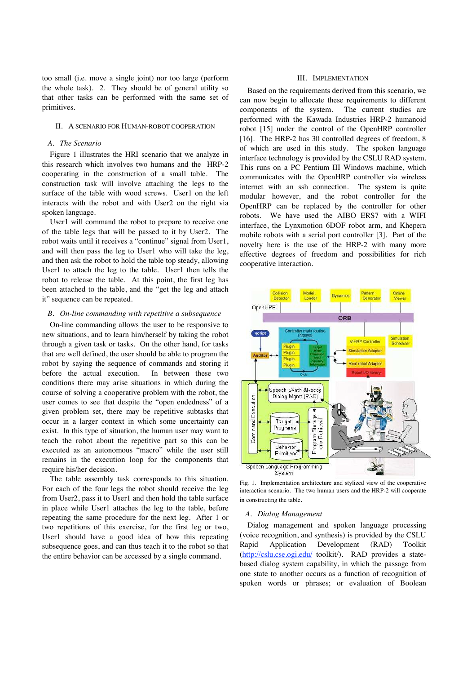too small (i.e. move a single joint) nor too large (perform the whole task). 2. They should be of general utility so that other tasks can be performed with the same set of primitives.

## II. A SCENARIO FOR HUMAN-ROBOT COOPERATION

## *A. The Scenario*

Figure 1 illustrates the HRI scenario that we analyze in this research which involves two humans and the HRP-2 cooperating in the construction of a small table. The construction task will involve attaching the legs to the surface of the table with wood screws. User1 on the left interacts with the robot and with User2 on the right via spoken language.

User1 will command the robot to prepare to receive one of the table legs that will be passed to it by User2. The robot waits until it receives a "continue" signal from User1, and will then pass the leg to User1 who will take the leg, and then ask the robot to hold the table top steady, allowing User1 to attach the leg to the table. User1 then tells the robot to release the table. At this point, the first leg has been attached to the table, and the "get the leg and attach it" sequence can be repeated.

## *B. On-line commanding with repetitive a subsequence*

On-line commanding allows the user to be responsive to new situations, and to learn him/herself by taking the robot through a given task or tasks. On the other hand, for tasks that are well defined, the user should be able to program the robot by saying the sequence of commands and storing it before the actual execution. In between these two conditions there may arise situations in which during the course of solving a cooperative problem with the robot, the user comes to see that despite the "open endedness" of a given problem set, there may be repetitive subtasks that occur in a larger context in which some uncertainty can exist. In this type of situation, the human user may want to teach the robot about the repetitive part so this can be executed as an autonomous "macro" while the user still remains in the execution loop for the components that require his/her decision.

The table assembly task corresponds to this situation. For each of the four legs the robot should receive the leg from User2, pass it to User1 and then hold the table surface in place while User1 attaches the leg to the table, before repeating the same procedure for the next leg. After 1 or two repetitions of this exercise, for the first leg or two, User1 should have a good idea of how this repeating subsequence goes, and can thus teach it to the robot so that the entire behavior can be accessed by a single command.

## III. IMPLEMENTATION

Based on the requirements derived from this scenario, we can now begin to allocate these requirements to different components of the system. The current studies are performed with the Kawada Industries HRP-2 humanoid robot [15] under the control of the OpenHRP controller [16]. The HRP-2 has 30 controlled degrees of freedom, 8 of which are used in this study. The spoken language interface technology is provided by the CSLU RAD system. This runs on a PC Pentium III Windows machine, which communicates with the OpenHRP controller via wireless internet with an ssh connection. The system is quite modular however, and the robot controller for the OpenHRP can be replaced by the controller for other robots. We have used the AIBO ERS7 with a WIFI interface, the Lynxmotion 6DOF robot arm, and Khepera mobile robots with a serial port controller [3]. Part of the novelty here is the use of the HRP-2 with many more effective degrees of freedom and possibilities for rich cooperative interaction.



Fig. 1. Implementation architecture and stylized view of the cooperative interaction scenario. The two human users and the HRP-2 will cooperate in constructing the table.

#### *A. Dialog Management*

Dialog management and spoken language processing (voice recognition, and synthesis) is provided by the CSLU Rapid Application Development (RAD) Toolkit (http://cslu.cse.ogi.edu/ toolkit/). RAD provides a statebased dialog system capability, in which the passage from one state to another occurs as a function of recognition of spoken words or phrases; or evaluation of Boolean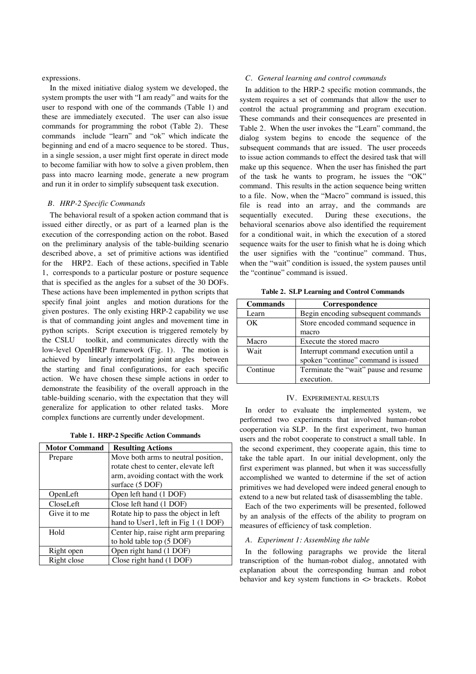expressions.

In the mixed initiative dialog system we developed, the system prompts the user with "I am ready" and waits for the user to respond with one of the commands (Table 1) and these are immediately executed. The user can also issue commands for programming the robot (Table 2). These commands include "learn" and "ok" which indicate the beginning and end of a macro sequence to be stored. Thus, in a single session, a user might first operate in direct mode to become familiar with how to solve a given problem, then pass into macro learning mode, generate a new program and run it in order to simplify subsequent task execution.

#### *B. HRP-2 Specific Commands*

The behavioral result of a spoken action command that is issued either directly, or as part of a learned plan is the execution of the corresponding action on the robot. Based on the preliminary analysis of the table-building scenario described above, a set of primitive actions was identified for the HRP2. Each of these actions, specified in Table 1, corresponds to a particular posture or posture sequence that is specified as the angles for a subset of the 30 DOFs. These actions have been implemented in python scripts that specify final joint angles and motion durations for the given postures. The only existing HRP-2 capability we use is that of commanding joint angles and movement time in python scripts. Script execution is triggered remotely by the CSLU toolkit, and communicates directly with the low-level OpenHRP framework (Fig. 1). The motion is achieved by linearly interpolating joint angles between the starting and final configurations, for each specific action. We have chosen these simple actions in order to demonstrate the feasibility of the overall approach in the table-building scenario, with the expectation that they will generalize for application to other related tasks. More complex functions are currently under development.

|  |  |  |  | Table 1. HRP-2 Specific Action Commands |
|--|--|--|--|-----------------------------------------|
|--|--|--|--|-----------------------------------------|

| <b>Motor Command</b> | <b>Resulting Actions</b>              |  |  |
|----------------------|---------------------------------------|--|--|
| Prepare              | Move both arms to neutral position,   |  |  |
|                      | rotate chest to center, elevate left  |  |  |
|                      | arm, avoiding contact with the work   |  |  |
|                      | surface (5 DOF)                       |  |  |
| OpenLeft             | Open left hand (1 DOF)                |  |  |
| CloseLeft            | Close left hand (1 DOF)               |  |  |
| Give it to me        | Rotate hip to pass the object in left |  |  |
|                      | hand to User1, left in Fig 1 (1 DOF)  |  |  |
| Hold                 | Center hip, raise right arm preparing |  |  |
|                      | to hold table top (5 DOF)             |  |  |
| Right open           | Open right hand (1 DOF)               |  |  |
| Right close          | Close right hand (1 DOF)              |  |  |

## *C. General learning and control commands*

In addition to the HRP-2 specific motion commands, the system requires a set of commands that allow the user to control the actual programming and program execution. These commands and their consequences are presented in Table 2. When the user invokes the "Learn" command, the dialog system begins to encode the sequence of the subsequent commands that are issued. The user proceeds to issue action commands to effect the desired task that will make up this sequence. When the user has finished the part of the task he wants to program, he issues the "OK" command. This results in the action sequence being written to a file. Now, when the "Macro" command is issued, this file is read into an array, and the commands are sequentially executed. During these executions, the behavioral scenarios above also identified the requirement for a conditional wait, in which the execution of a stored sequence waits for the user to finish what he is doing which the user signifies with the "continue" command. Thus, when the "wait" condition is issued, the system pauses until the "continue" command is issued.

| <b>Commands</b> | Correspondence                                                             |
|-----------------|----------------------------------------------------------------------------|
| Learn           | Begin encoding subsequent commands                                         |
| OK              | Store encoded command sequence in                                          |
|                 | macro                                                                      |
| Macro           | Execute the stored macro                                                   |
| Wait            | Interrupt command execution until a<br>spoken "continue" command is issued |
| Continue        | Terminate the "wait" pause and resume<br>execution.                        |

**Table 2. SLP Learning and Control Commands** 

#### IV. EXPERIMENTAL RESULTS

In order to evaluate the implemented system, we performed two experiments that involved human-robot cooperation via SLP. In the first experiment, two human users and the robot cooperate to construct a small table. In the second experiment, they cooperate again, this time to take the table apart. In our initial development, only the first experiment was planned, but when it was successfully accomplished we wanted to determine if the set of action primitives we had developed were indeed general enough to extend to a new but related task of disassembling the table.

Each of the two experiments will be presented, followed by an analysis of the effects of the ability to program on measures of efficiency of task completion.

# *A. Experiment 1: Assembling the table*

In the following paragraphs we provide the literal transcription of the human-robot dialog, annotated with explanation about the corresponding human and robot behavior and key system functions in <> brackets. Robot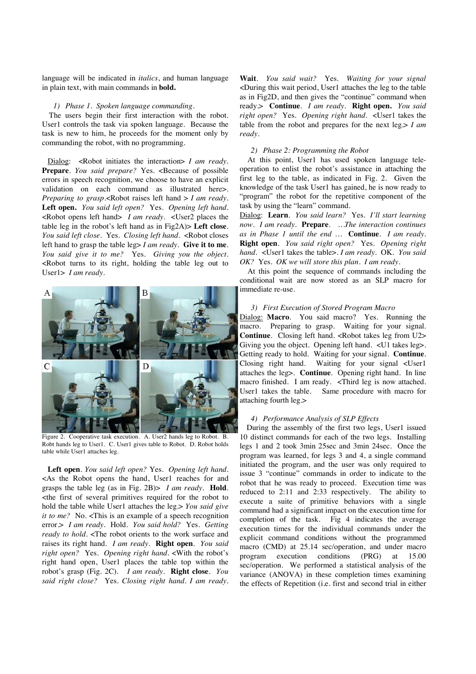language will be indicated in *italics*, and human language in plain text, with main commands in **bold.**

## *1) Phase 1. Spoken language commanding.*

The users begin their first interaction with the robot. User1 controls the task via spoken language. Because the task is new to him, he proceeds for the moment only by commanding the robot, with no programming.

Dialog: <Robot initiates the interaction> *I am ready*. Prepare. You said prepare? Yes. <Because of possible errors in speech recognition, we choose to have an explicit validation on each command as illustrated here>. *Preparing to grasp.<Robot raises left hand > I am ready.* **Left open.** *You said left open?* Yes. *Opening left hand.* <Robot opens left hand> *I am ready.* <User2 places the table leg in the robot's left hand as in Fig2A)> **Left close**. *You said left close*. Yes. *Closing left hand.* <Robot closes left hand to grasp the table leg> *I am ready*. **Give it to me**. *You said give it to me?* Yes. *Giving you the object.*  <Robot turns to its right, holding the table leg out to User1> *I am ready.*



Figure 2. Cooperative task execution. A. User2 hands leg to Robot. B. Robt hands leg to User1. C. User1 gives table to Robot. D. Robot holds table while User1 attaches leg.

**Left open**. *You said left open?* Yes. *Opening left hand.*  <As the Robot opens the hand, User1 reaches for and grasps the table leg (as in Fig. 2B)> *I am ready.* **Hold**. <the first of several primitives required for the robot to hold the table while User1 attaches the leg.> *You said give it to me?* No. <This is an example of a speech recognition error.> *I am ready.* Hold. *You said hold?* Yes. *Getting ready to hold.* <The robot orients to the work surface and raises its right hand. *I am ready*. **Right open**. *You said right open?* Yes. *Opening right hand.* <With the robot's right hand open, User1 places the table top within the robot's grasp (Fig. 2C). *I am ready*. **Right close**. *You said right close?* Yes. *Closing right hand. I am ready.* 

**Wait**. *You said wait?* Yes. *Waiting for your signal* <During this wait period, User1 attaches the leg to the table as in Fig2D, and then gives the "continue" command when ready.> **Continue**. *I am ready.* **Right open.** *You said right open?* Yes. *Opening right hand.* <User1 takes the table from the robot and prepares for the next  $\log \frac{1}{2}$  *am ready.* 

## *2) Phase 2: Programming the Robot*

At this point, User1 has used spoken language teleoperation to enlist the robot's assistance in attaching the first leg to the table, as indicated in Fig. 2. Given the knowledge of the task User1 has gained, he is now ready to "program" the robot for the repetitive component of the task by using the "learn" command.

Dialog: **Learn**. *You said learn?* Yes. *I'll start learning now. I am ready.* **Prepare**. *…The interaction continues as in Phase 1 until the end …* **Continue**. *I am ready.*  **Right open**. *You said right open?* Yes. *Opening right hand.* <User1 takes the table>. *I am ready.* OK. *You said OK?* Yes. *OK we will store this plan. I am ready.*

 At this point the sequence of commands including the conditional wait are now stored as an SLP macro for immediate re-use.

#### *3) First Execution of Stored Program Macro*

Dialog: **Macro**. You said macro? Yes. Running the macro. Preparing to grasp. Waiting for your signal. **Continue**. Closing left hand. <Robot takes leg from U2> Giving you the object. Opening left hand. <U1 takes leg>. Getting ready to hold. Waiting for your signal. **Continue**. Closing right hand. Waiting for your signal <User1 attaches the leg>. **Continue**. Opening right hand. In line macro finished. I am ready. <Third leg is now attached. User1 takes the table. Same procedure with macro for attaching fourth leg.>

## *4) Performance Analysis of SLP Effects*

During the assembly of the first two legs, User1 issued 10 distinct commands for each of the two legs. Installing legs 1 and 2 took 3min 25sec and 3min 24sec. Once the program was learned, for legs 3 and 4, a single command initiated the program, and the user was only required to issue 3 "continue" commands in order to indicate to the robot that he was ready to proceed. Execution time was reduced to 2:11 and 2:33 respectively. The ability to execute a suite of primitive behaviors with a single command had a significant impact on the execution time for completion of the task. Fig 4 indicates the average execution times for the individual commands under the explicit command conditions without the programmed macro (CMD) at 25.14 sec/operation, and under macro program execution conditions (PRG) at 15.00 sec/operation. We performed a statistical analysis of the variance (ANOVA) in these completion times examining the effects of Repetition (i.e. first and second trial in either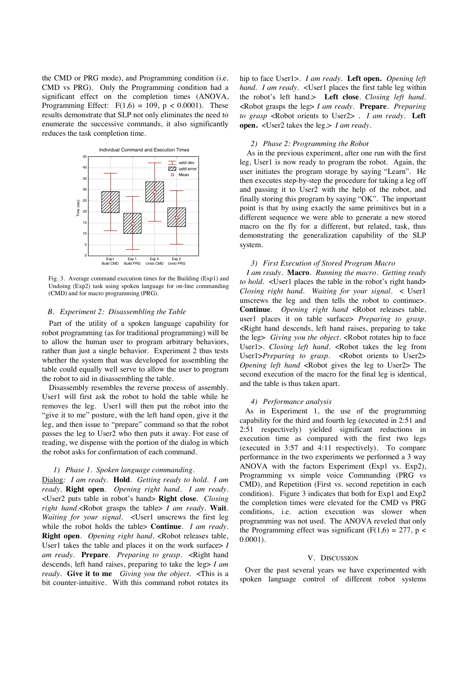the CMD or PRG mode), and Programming condition (i.e. CMD vs PRG). Only the Programming condition had a significant effect on the completion times (ANOVA, Programming Effect:  $F(1.6) = 109$ ,  $p < 0.0001$ ). These results demonstrate that SLP not only eliminates the need to enumerate the successive commands, it also significantly reduces the task completion time.



 Fig. 3. Average command execution times for the Building (Exp1) and Undoing (Exp2) task using spoken language for on-line commanding (CMD) and for macro programming (PRG).

### *B. Experiment 2: Disassembling the Table*

Part of the utility of a spoken language capability for robot programming (as for traditional programming) will be to allow the human user to program arbitrary behaviors, rather than just a single behavior. Experiment 2 thus tests whether the system that was developed for assembling the table could equally well serve to allow the user to program the robot to aid in disassembling the table.

Disassembly resembles the reverse process of assembly. User1 will first ask the robot to hold the table while he removes the leg. User1 will then put the robot into the "give it to me" posture, with the left hand open, give it the leg, and then issue to "prepare" command so that the robot passes the leg to User2 who then puts it away. For ease of reading, we dispense with the portion of the dialog in which the robot asks for confirmation of each command.

#### *1) Phase 1. Spoken language commanding.*

Dialog*: I am ready.* **Hold**. *Getting ready to hold. I am ready.* **Right open**. *Opening right hand. I am ready.* <User2 puts table in robot's hand> **Right close**. *Closing right hand.*<Robot grasps the table> *I am ready.* **Wait**. *Waiting for your signal.* <User1 unscrews the first leg while the robot holds the table> **Continue**. *I am ready.*  **Right open**. *Opening right hand.* <Robot releases table, User1 takes the table and places it on the work surface> *I am ready.* **Prepare**. *Preparing to grasp.* <Right hand descends, left hand raises, preparing to take the leg> *I am ready.* **Give it to me** *Giving you the object.* <This is a bit counter-intuitive. With this command robot rotates its hip to face User1>. *I am ready.* **Left open.** *Opening left hand. I am ready.* <User1 places the first table leg within the robot's left hand.> **Left close**. *Closing left hand.*  <Robot grasps the leg> *I am ready.* **Prepare**. *Preparing to grasp* <Robot orients to User2> . *I am ready.* **Left open.** <User2 takes the leg.> *I am ready.* 

# *2) Phase 2: Programming the Robot*

As in the previous experiment, after one run with the first leg, User1 is now ready to program the robot. Again, the user initiates the program storage by saying "Learn". He then executes step-by-step the procedure for taking a leg off and passing it to User2 with the help of the robot, and finally storing this program by saying "OK". The important point is that by using exactly the same primitives but in a different sequence we were able to generate a new stored macro on the fly for a different, but related, task, thus demonstrating the generalization capability of the SLP system.

## *3) First Execution of Stored Program Macro*

*I am ready.* **Macro**. *Running the macro. Getting ready to hold.* <User1 places the table in the robot's right hand> *Closing right hand. Waiting for your signal.* < User1 unscrews the leg and then tells the robot to continue>. **Continue**. *Opening right hand* <Robot releases table, user1 places it on table surface> *Preparing to grasp.*  <Right hand descends, left hand raises, preparing to take the leg> *Giving you the object.* <Robot rotates hip to face User1>. *Closing left hand*. <Robot takes the leg from User1>*Preparing to grasp.* <Robot orients to User2> *Opening left hand* <Robot gives the leg to User2> The second execution of the macro for the final leg is identical, and the table is thus taken apart.

## *4) Performance analysis*

As in Experiment 1, the use of the programming capability for the third and fourth leg (executed in 2:51 and 2:51 respectively) yielded significant reductions in execution time as compared with the first two legs (executed in 3:57 and 4:11 respectively). To compare performance in the two experiments we performed a 3 way ANOVA with the factors Experiment (Exp1 vs. Exp2), Programming vs simple voice Commanding (PRG vs CMD), and Repetition (First vs. second repetition in each condition). Figure 3 indicates that both for Exp1 and Exp2 the completion times were elevated for the CMD vs PRG conditions, i.e. action execution was slower when programming was not used. The ANOVA reveled that only the Programming effect was significant (F(1,6) = 277, p < 0.0001).

### V. DISCUSSION

Over the past several years we have experimented with spoken language control of different robot systems